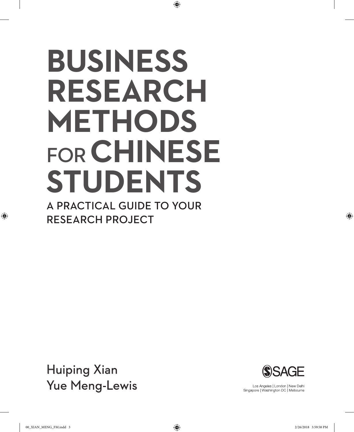# **BUSINESS RESEARCH METHODS**  FOR**CHINESE STUDENTS** A PRACTICAL GUIDE TO YOUR

⊕

RESEARCH PROJECT

Huiping Xian Yue Meng-Lewis



Los Angeles | London | New Delhi Singapore | Washington DC | Melbourne

⊕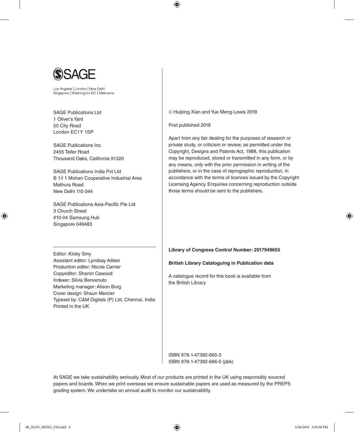

Los Angeles | London | New Delhi Singapore | Washington DC | Melbourne

SAGE Publications Ltd 1 Oliver's Yard 55 City Road London EC1Y 1SP

SAGE Publications Inc. 2455 Teller Road Thousand Oaks, California 91320

SAGE Publications India Pvt Ltd B 1/I 1 Mohan Cooperative Industrial Area Mathura Road New Delhi 110 044

SAGE Publications Asia-Pacific Pte Ltd 3 Church Street #10-04 Samsung Hub Singapore 049483

Editor: Kirsty Smy

♠

Printed in the UK

Assistant editor: Lyndsay Aitken Production editor: Nicola Carrier Copyeditor: Sharon Cawood Indexer: Silvia Benvenuto Marketing manager: Alison Borg Cover design: Shaun Mercier

Typeset by: C&M Digitals (P) Ltd, Chennai, India

Huiping Xian and Yue Meng-Lewis 2018

First published 2018

⊕

Apart from any fair dealing for the purposes of research or private study, or criticism or review, as permitted under the Copyright, Designs and Patents Act, 1988, this publication may be reproduced, stored or transmitted in any form, or by any means, only with the prior permission in writing of the publishers, or in the case of reprographic reproduction, in accordance with the terms of licences issued by the Copyright Licensing Agency. Enquiries concerning reproduction outside those terms should be sent to the publishers.

**Library of Congress Control Number: 2017949655**

**British Library Cataloguing in Publication data**

A catalogue record for this book is available from the British Library

ISBN 978-1-47392-665-3 ISBN 978-1-47392-666-0 (pbk)

At SAGE we take sustainability seriously. Most of our products are printed in the UK using responsibly sourced papers and boards. When we print overseas we ensure sustainable papers are used as measured by the PREPS grading system. We undertake an annual audit to monitor our sustainability.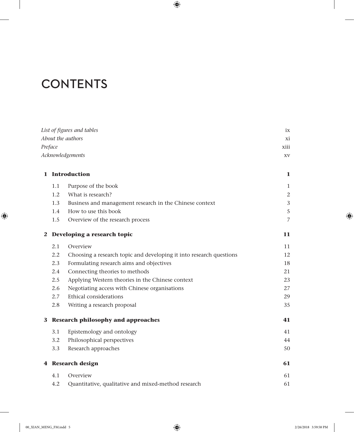# **CONTENTS**

|   |                   | List of figures and tables                                          | ix |  |
|---|-------------------|---------------------------------------------------------------------|----|--|
|   | About the authors |                                                                     |    |  |
|   | Preface           |                                                                     |    |  |
|   |                   | Acknowledgements                                                    | XV |  |
| 1 | Introduction      |                                                                     |    |  |
|   | 1.1               | Purpose of the book                                                 | 1  |  |
|   | 1.2               | What is research?                                                   | 2  |  |
|   | 1.3               | Business and management research in the Chinese context             | 3  |  |
|   | 1.4               | How to use this book                                                | 5  |  |
|   | 1.5               | Overview of the research process                                    | 7  |  |
| 2 |                   | Developing a research topic                                         | 11 |  |
|   | 2.1               | Overview                                                            | 11 |  |
|   | $2.2\,$           | Choosing a research topic and developing it into research questions | 12 |  |
|   | 2.3               | Formulating research aims and objectives                            | 18 |  |
|   | 2.4               | Connecting theories to methods                                      | 21 |  |
|   | 2.5               | Applying Western theories in the Chinese context                    | 23 |  |
|   | 2.6               | Negotiating access with Chinese organisations                       | 27 |  |
|   | 2.7               | Ethical considerations                                              | 29 |  |
|   | 2.8               | Writing a research proposal                                         | 35 |  |
| 3 |                   | <b>Research philosophy and approaches</b>                           | 41 |  |
|   | 3.1               | Epistemology and ontology                                           | 41 |  |
|   | 3.2               | Philosophical perspectives                                          | 44 |  |
|   | 3.3               | Research approaches                                                 | 50 |  |
|   |                   | 4 Research design                                                   | 61 |  |
|   | 4.1               | Overview                                                            | 61 |  |
|   | 4.2               | Quantitative, qualitative and mixed-method research                 | 61 |  |

 $\bigoplus$ 

 $\bigoplus$ 

 $\overline{\phantom{a}}$ 

 $\bigoplus$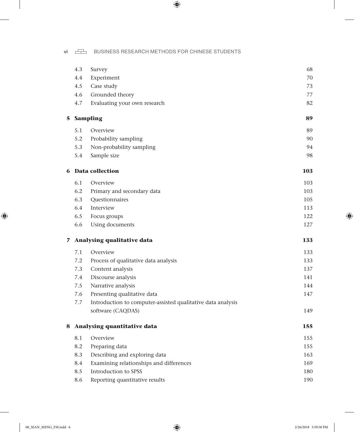vi  $\Box$  BUSINESS RESEARCH METHODS FOR CHINESE STUDENTS

 $\bigoplus$ 

|    | 4.3 | Survey                                                      | 68         |
|----|-----|-------------------------------------------------------------|------------|
|    | 4.4 | Experiment                                                  | 70         |
|    | 4.5 | Case study                                                  | 73         |
|    | 4.6 | Grounded theory                                             | 77         |
|    | 4.7 | Evaluating your own research                                | 82         |
| 5. |     | <b>Sampling</b>                                             | 89         |
|    | 5.1 | Overview                                                    | 89         |
|    | 5.2 | Probability sampling                                        | 90         |
|    | 5.3 | Non-probability sampling                                    | 94         |
|    | 5.4 | Sample size                                                 | 98         |
|    |     | <b>6</b> Data collection                                    | <b>103</b> |
|    | 6.1 | Overview                                                    | 103        |
|    | 6.2 | Primary and secondary data                                  | 103        |
|    | 6.3 | Questionnaires                                              | 105        |
|    | 6.4 | Interview                                                   | 113        |
|    | 6.5 | Focus groups                                                | 122        |
|    | 6.6 | Using documents                                             | 127        |
|    |     | 7 Analysing qualitative data                                | 133        |
|    | 7.1 | Overview                                                    | 133        |
|    | 7.2 | Process of qualitative data analysis                        | 133        |
|    | 7.3 | Content analysis                                            | 137        |
|    | 7.4 | Discourse analysis                                          | 141        |
|    | 7.5 | Narrative analysis                                          | 144        |
|    | 7.6 | Presenting qualitative data                                 | 147        |
|    | 7.7 | Introduction to computer-assisted qualitative data analysis |            |
|    |     | software (CAQDAS)                                           | 149        |
|    |     | 8 Analysing quantitative data                               | 155        |
|    | 8.1 | Overview                                                    | 155        |
|    | 8.2 | Preparing data                                              | 155        |
|    | 8.3 | Describing and exploring data                               | 163        |
|    | 8.4 | Examining relationships and differences                     | 169        |
|    | 8.5 | Introduction to SPSS                                        | 180        |
|    | 8.6 | Reporting quantitative results                              | 190        |

 $\bigoplus$ 

 $\bigoplus$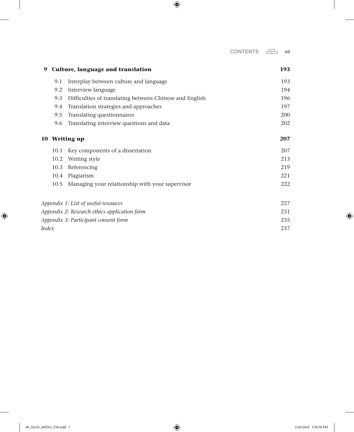$\overline{\phantom{a}}$ 

 $\bigoplus$ 

| 9     | Culture, language and translation |                                                         | 193 |
|-------|-----------------------------------|---------------------------------------------------------|-----|
|       | 9.1                               | Interplay between culture and language                  | 193 |
|       | 9.2                               | Interview language                                      | 194 |
|       | 9.3                               | Difficulties of translating between Chinese and English | 196 |
|       | 9.4                               | Translation strategies and approaches                   | 197 |
|       | 9.5                               | Translating questionnaires                              | 200 |
|       | 9.6                               | Translating interview questions and data                | 202 |
|       |                                   | 10 Writing up                                           | 207 |
|       |                                   | 10.1 Key components of a dissertation                   | 207 |
|       | 10.2                              | Writing style                                           | 213 |
|       | 10.3                              | Referencing                                             | 219 |
|       |                                   | 10.4 Plagiarism                                         | 221 |
|       |                                   | 10.5 Managing your relationship with your supervisor    | 222 |
|       |                                   | Appendix 1: List of useful resources                    | 227 |
|       |                                   | Appendix 2: Research ethics application form            | 231 |
|       |                                   | Appendix 3: Participant consent form                    | 235 |
| Index |                                   |                                                         | 237 |

 $\bigoplus$ 

 $\overline{\phantom{a}}$ 

 $\bigoplus$ 

 $\overline{\phantom{a}}$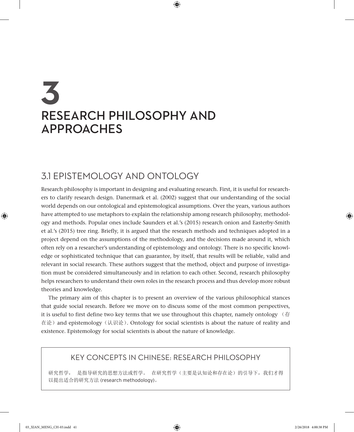# **3** RESEARCH PHILOSOPHY AND APPROACHES

# 3.1 EPISTEMOLOGY AND ONTOLOGY

Research philosophy is important in designing and evaluating research. First, it is useful for researchers to clarify research design. Danermark et al. (2002) suggest that our understanding of the social world depends on our ontological and epistemological assumptions. Over the years, various authors have attempted to use metaphors to explain the relationship among research philosophy, methodology and methods. Popular ones include Saunders et al.'s (2015) research onion and Easterby-Smith et al.'s (2015) tree ring. Briefly, it is argued that the research methods and techniques adopted in a project depend on the assumptions of the methodology, and the decisions made around it, which often rely on a researcher's understanding of epistemology and ontology. There is no specific knowledge or sophisticated technique that can guarantee, by itself, that results will be reliable, valid and relevant in social research. These authors suggest that the method, object and purpose of investigation must be considered simultaneously and in relation to each other. Second, research philosophy helps researchers to understand their own roles in the research process and thus develop more robust theories and knowledge.

⊕

The primary aim of this chapter is to present an overview of the various philosophical stances that guide social research. Before we move on to discuss some of the most common perspectives, it is useful to first define two key terms that we use throughout this chapter, namely ontology  $\sqrt{7}$ 在论) and epistemology (认识论). Ontology for social scientists is about the nature of reality and existence. Epistemology for social scientists is about the nature of knowledge.

#### KEY CONCEPTS IN CHINESE: RESEARCH PHILOSOPHY

研究哲学, 是指导研究的思想方法或哲学。 在研究哲学(主要是认知论和存在论)的引导下,我们才得 以提出适合的研究方法 (research methodology)。

♠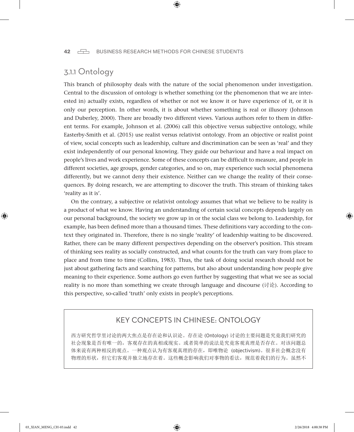#### 42 **BUSINESS RESEARCH METHODS FOR CHINESE STUDENTS**

⊕

#### 3.1.1 Ontology

This branch of philosophy deals with the nature of the social phenomenon under investigation. Central to the discussion of ontology is whether something (or the phenomenon that we are interested in) actually exists, regardless of whether or not we know it or have experience of it, or it is only our perception. In other words, it is about whether something is real or illusory (Johnson and Duberley, 2000). There are broadly two different views. Various authors refer to them in different terms. For example, Johnson et al. (2006) call this objective versus subjective ontology, while Easterby-Smith et al. (2015) use realist versus relativist ontology. From an objective or realist point of view, social concepts such as leadership, culture and discrimination can be seen as 'real' and they exist independently of our personal knowing. They guide our behaviour and have a real impact on people's lives and work experience. Some of these concepts can be difficult to measure, and people in different societies, age groups, gender categories, and so on, may experience such social phenomena differently, but we cannot deny their existence. Neither can we change the reality of their consequences. By doing research, we are attempting to discover the truth. This stream of thinking takes 'reality as it is'.

On the contrary, a subjective or relativist ontology assumes that what we believe to be reality is a product of what we know. Having an understanding of certain social concepts depends largely on our personal background, the society we grow up in or the social class we belong to. Leadership, for example, has been defined more than a thousand times. These definitions vary according to the context they originated in. Therefore, there is no single 'reality' of leadership waiting to be discovered. Rather, there can be many different perspectives depending on the observer's position. This stream of thinking sees reality as socially constructed, and what counts for the truth can vary from place to place and from time to time (Collins, 1983). Thus, the task of doing social research should not be just about gathering facts and searching for patterns, but also about understanding how people give meaning to their experience. Some authors go even further by suggesting that what we see as social reality is no more than something we create through language and discourse (讨论). According to this perspective, so-called 'truth' only exists in people's perceptions.

#### KEY CONCEPTS IN CHINESE: ONTOLOGY

西方研究哲学里讨论的两大焦点是存在论和认识论。存在论 (Ontology) 讨论的主要问题是究竟我们研究的 社会现象是否有唯一的,客观存在的真相或现实。或者简单的说法是究竟客观真理是否存在。对该问题总 体来说有两种相反的观点。一种观点认为有客观真理的存在,即唯物论 (objectivism)。很多社会概念没有 物理的形状,但它们客观并独立地存在着。这些概念影响我们对事物的看法,规范着我们的行为。虽然不

♠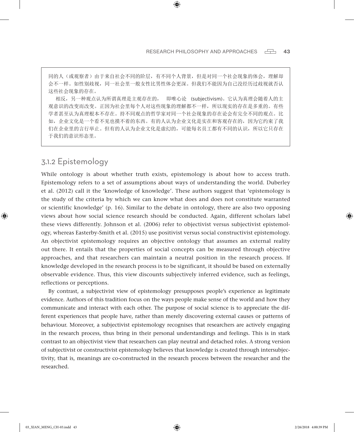同的人(或观察者)由于来自社会不同的阶层,有不同个人背景,但是对同一个社会现象的体会,理解却 会不一样。如性别歧视,同一社会里一般女性比男性体会更深。但我们不能因为自己没经历过歧视就否认 这些社会现象的存在。

⊕

相反,另一种观点认为所谓真理是主观存在的, 即唯心论 (subjectivism)。它认为真理会随着人的主 观意识的改变而改变。正因为社会里每个人对这些现象的理解都不一样,所以现实的存在是多重的。有些 学者甚至认为真理根本不存在。持不同观点的哲学家对同一个社会现象的存在论会有完全不同的观点。比 如,企业文化是一个看不见也摸不着的东西。有的人认为企业文化是实在和客观存在的,因为它约束了我 们在企业里的言行举止。但有的人认为企业文化是虚幻的,可能每名员工都有不同的认识,所以它只存在 于我们的意识形态里。

#### 3.1.2 Epistemology

♠

While ontology is about whether truth exists, epistemology is about how to access truth. Epistemology refers to a set of assumptions about ways of understanding the world. Duberley et al. (2012) call it the 'knowledge of knowledge'. These authors suggest that 'epistemology is the study of the criteria by which we can know what does and does not constitute warranted or scientific knowledge' (p. 16). Similar to the debate in ontology, there are also two opposing views about how social science research should be conducted. Again, different scholars label these views differently. Johnson et al. (2006) refer to objectivist versus subjectivist epistemology, whereas Easterby-Smith et al. (2015) use positivist versus social constructivist epistemology. An objectivist epistemology requires an objective ontology that assumes an external reality out there. It entails that the properties of social concepts can be measured through objective approaches, and that researchers can maintain a neutral position in the research process. If knowledge developed in the research process is to be significant, it should be based on externally observable evidence. Thus, this view discounts subjectively inferred evidence, such as feelings, reflections or perceptions.

By contrast, a subjectivist view of epistemology presupposes people's experience as legitimate evidence. Authors of this tradition focus on the ways people make sense of the world and how they communicate and interact with each other. The purpose of social science is to appreciate the different experiences that people have, rather than merely discovering external causes or patterns of behaviour. Moreover, a subjectivist epistemology recognises that researchers are actively engaging in the research process, thus bring in their personal understandings and feelings. This is in stark contrast to an objectivist view that researchers can play neutral and detached roles. A strong version of subjectivist or constructivist epistemology believes that knowledge is created through intersubjectivity, that is, meanings are co-constructed in the research process between the researcher and the researched.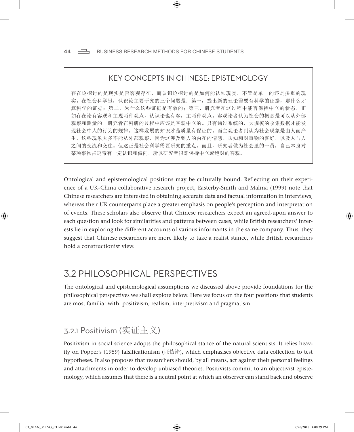#### KEY CONCEPTS IN CHINESE: EPISTEMOLOGY

⊕

存在论探讨的是现实是否客观存在,而认识论探讨的是如何能认知现实,不管是单一的还是多重的现 实。在社会科学里,认识论主要研究的三个问题是:第一,提出新的理论需要有科学的证据,那什么才 算科学的证据;第二,为什么这些证据是有效的;第三,研究者在这过程中能否保持中立的状态。正 如存在论有客观和主观两种观点,认识论也有客,主两种观点。客观论者认为社会的概念是可以从外部 观察和测量的。研究者在科研的过程中应该是客观中立的。只有通过系统的,大规模的收集数据才能发 现社会中人的行为的规律。这样发展的知识才是质量有保证的。而主观论者则认为社会现象是由人而产 生,这些现象大多不能从外部观察,因为这涉及到人的内在的情感、认知和对事物的喜好,以及人与人 之间的交流和交往。但这正是社会科学需要研究的重点。而且,研究者做为社会里的一员,自己本身对 某项事物肯定带有一定认识和偏向,所以研究者很难保持中立或绝对的客观。

Ontological and epistemological positions may be culturally bound. Reflecting on their experience of a UK–China collaborative research project, Easterby-Smith and Malina (1999) note that Chinese researchers are interested in obtaining accurate data and factual information in interviews, whereas their UK counterparts place a greater emphasis on people's perception and interpretation of events. These scholars also observe that Chinese researchers expect an agreed-upon answer to each question and look for similarities and patterns between cases, while British researchers' interests lie in exploring the different accounts of various informants in the same company. Thus, they suggest that Chinese researchers are more likely to take a realist stance, while British researchers hold a constructionist view.

# 3.2 PHILOSOPHICAL PERSPECTIVES

The ontological and epistemological assumptions we discussed above provide foundations for the philosophical perspectives we shall explore below. Here we focus on the four positions that students are most familiar with: positivism, realism, interpretivism and pragmatism.

# 3.2.1 Positivism (实证主义)

Positivism in social science adopts the philosophical stance of the natural scientists. It relies heavily on Popper's (1959) falsificationism (证伪论), which emphasises objective data collection to test hypotheses. It also proposes that researchers should, by all means, act against their personal feelings and attachments in order to develop unbiased theories. Positivists commit to an objectivist epistemology, which assumes that there is a neutral point at which an observer can stand back and observe

♠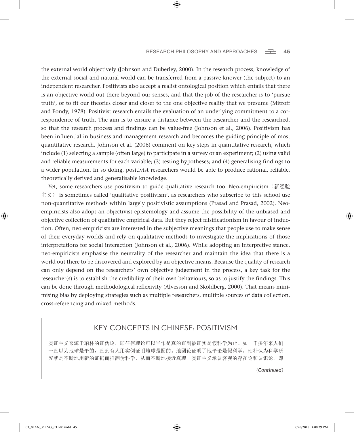#### RESEARCH PHILOSOPHY AND APPROACHES  $\Box$  45

the external world objectively (Johnson and Duberley, 2000). In the research process, knowledge of the external social and natural world can be transferred from a passive knower (the subject) to an independent researcher. Positivists also accept a realist ontological position which entails that there is an objective world out there beyond our senses, and that the job of the researcher is to 'pursue truth', or to fit our theories closer and closer to the one objective reality that we presume (Mitroff and Pondy, 1978). Positivist research entails the evaluation of an underlying commitment to a correspondence of truth. The aim is to ensure a distance between the researcher and the researched, so that the research process and findings can be value-free (Johnson et al., 2006). Positivism has been influential in business and management research and becomes the guiding principle of most quantitative research. Johnson et al. (2006) comment on key steps in quantitative research, which include (1) selecting a sample (often large) to participate in a survey or an experiment; (2) using valid and reliable measurements for each variable; (3) testing hypotheses; and (4) generalising findings to a wider population. In so doing, positivist researchers would be able to produce rational, reliable, theoretically derived and generalisable knowledge.

⊕

Yet, some researchers use positivism to guide qualitative research too. Neo-empiricism (新经验 主义) is sometimes called 'qualitative positivism', as researchers who subscribe to this school use non-quantitative methods within largely positivistic assumptions (Prasad and Prasad, 2002). Neoempiricists also adopt an objectivist epistemology and assume the possibility of the unbiased and objective collection of qualitative empirical data. But they reject falsificationism in favour of induction. Often, neo-empiricists are interested in the subjective meanings that people use to make sense of their everyday worlds and rely on qualitative methods to investigate the implications of those interpretations for social interaction (Johnson et al., 2006). While adopting an interpretive stance, neo-empiricists emphasise the neutrality of the researcher and maintain the idea that there is a world out there to be discovered and explored by an objective means. Because the quality of research can only depend on the researchers' own objective judgement in the process, a key task for the researcher(s) is to establish the credibility of their own behaviours, so as to justify the findings. This can be done through methodological reflexivity (Alvesson and Sköldberg, 2000). That means minimising bias by deploying strategies such as multiple researchers, multiple sources of data collection, cross-referencing and mixed methods.

#### KEY CONCEPTS IN CHINESE: POSITIVISM

实证主义来源于珀朴的证伪论,即任何理论可以当作是真的直到被证实是假科学为止。如一千多年来人们 一直以为地球是平的,直到有人用实例证明地球是圆的。地圆论证明了地平论是假科学。珀朴认为科学研 究就是不断地用新的证据而推翻伪科学,从而不断地接近真理。实证主义承认客观的存在论和认识论。即

*(Continued)*

♠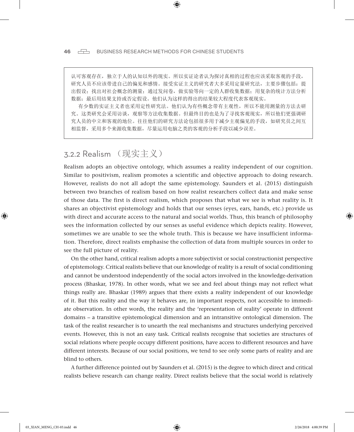46  $\Box$  BUSINESS RESEARCH METHODS FOR CHINESE STUDENTS

认可客观存在,独立于人的认知以外的现实。所以实证论者认为探讨真相的过程也应该采取客观的手段, 研究人员不应该带进自己的偏见和感情。接受实证主义的研究者大多采用定量研究法,主要步骤包括:提 出假设;找出对社会概念的测量;通过发问卷,做实验等向一定的人群收集数据;用复杂的统计方法分析 数据;最后用结果支持或否定假设。他们认为这样的得出的结果较大程度代表客观现实。

⊕

有少数的实证主义者也采用定性研究法。他们认为有些概念带有主观性,所以不能用测量的方法去研 究。这类研究会采用访谈,观察等方法收集数据。但最终目的也是为了寻找客观现实,所以他们更强调研 究人员的中立和客观的地位。往往他们的研究方法论包括很多用于减少主观偏见的手段,如研究员之间互 相监督,采用多个来源收集数据,尽量运用电脑之类的客观的分析手段以减少误差。

## 3.2.2 Realism (现实主义)

Realism adopts an objective ontology, which assumes a reality independent of our cognition. Similar to positivism, realism promotes a scientific and objective approach to doing research. However, realists do not all adopt the same epistemology. Saunders et al. (2015) distinguish between two branches of realism based on how realist researchers collect data and make sense of those data. The first is direct realism, which proposes that what we see is what reality is. It shares an objectivist epistemology and holds that our senses (eyes, ears, hands, etc.) provide us with direct and accurate access to the natural and social worlds. Thus, this branch of philosophy sees the information collected by our senses as useful evidence which depicts reality. However, sometimes we are unable to see the whole truth. This is because we have insufficient information. Therefore, direct realists emphasise the collection of data from multiple sources in order to see the full picture of reality.

On the other hand, critical realism adopts a more subjectivist or social constructionist perspective of epistemology. Critical realists believe that our knowledge of reality is a result of social conditioning and cannot be understood independently of the social actors involved in the knowledge-derivation process (Bhaskar, 1978). In other words, what we see and feel about things may not reflect what things really are. Bhaskar (1989) argues that there exists a reality independent of our knowledge of it. But this reality and the way it behaves are, in important respects, not accessible to immediate observation. In other words, the reality and the 'representation of reality' operate in different domains – a transitive epistemological dimension and an intransitive ontological dimension. The task of the realist researcher is to unearth the real mechanisms and structures underlying perceived events. However, this is not an easy task. Critical realists recognise that societies are structures of social relations where people occupy different positions, have access to different resources and have different interests. Because of our social positions, we tend to see only some parts of reality and are blind to others.

A further difference pointed out by Saunders et al. (2015) is the degree to which direct and critical realists believe research can change reality. Direct realists believe that the social world is relatively

♠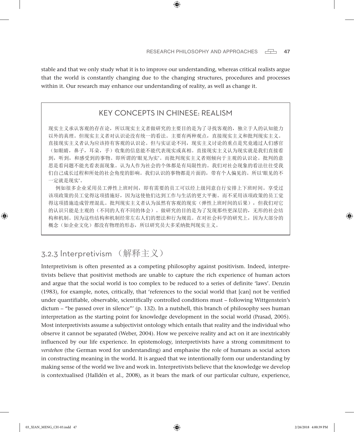stable and that we only study what it is to improve our understanding, whereas critical realists argue that the world is constantly changing due to the changing structures, procedures and processes within it. Our research may enhance our understanding of reality, as well as change it.

⊕

#### KEY CONCEPTS IN CHINESE: REALISM

现实主义承认客观的存在论,所以现实主义者做研究的主要目的是为了寻找客观的,独立于人的认知能力 以外的真理。但现实主义者对认识论没有统一的看法。主要有两种观点,直接现实主义和批判现实主义。 直接现实主义者认为应该持有客观的认识论。但与实证论不同,现实主义讨论的重点是究竟通过人们感官 (如眼睛,鼻子,耳朵,手)收集的信息能不能代表现实或真相。直接现实主义认为现实就是我们直接看 到,听到,和感受到的事物。即所谓的'眼见为实'。而批判现实主义者则倾向于主观的认识论。批判的意 思是看问题不能光看表面现象。认为人作为社会的个体都是有局限性的。我们对社会现象的看法往往受我 们自己成长过程和所处的社会角度的影响。我们认识的事物都是片面的,带有个人偏见的。所以'眼见的不 一定就是现实'。

例如很多企业采用员工弹性上班时间,即有需要的员工可以经上级同意自行安排上下班时间。享受过 该项政策的员工觉得这项措施好,因为这使他们达到工作与生活的更大平衡。而不采用该项政策的员工觉 得这项措施造成管理混乱。批判现实主义者认为虽然有客观的现实(弹性上班时间的后果),但我们对它 的认识只能是主观的(不同的人有不同的体会)。做研究的目的是为了发现那些更深层的,无形的社会结 构和机制。因为这些结构和机制经常左右人们的想法和行为规范。在对社会科学的研究上,因为大部分的 概念(如企业文化)都没有物理的形态,所以研究员大多采纳批判现实主义。

# 3.2.3 Interpretivism (解释主义)

Interpretivism is often presented as a competing philosophy against positivism. Indeed, interpretivists believe that positivist methods are unable to capture the rich experience of human actors and argue that the social world is too complex to be reduced to a series of definite 'laws'. Denzin (1983), for example, notes, critically, that 'references to the social world that [can] not be verified under quantifiable, observable, scientifically controlled conditions must – following Wittgenstein's dictum – "be passed over in silence"' (p. 132). In a nutshell, this branch of philosophy sees human interpretation as the starting point for knowledge development in the social world (Prasad, 2005). Most interpretivists assume a subjectivist ontology which entails that reality and the individual who observe it cannot be separated (Weber, 2004). How we perceive reality and act on it are inextricably influenced by our life experience. In epistemology, interpretivists have a strong commitment to *verstehen* (the German word for understanding) and emphasise the role of humans as social actors in constructing meaning in the world. It is argued that we intentionally form our understanding by making sense of the world we live and work in. Interpretivists believe that the knowledge we develop is contextualised (Halldén et al., 2008), as it bears the mark of our particular culture, experience,

⊕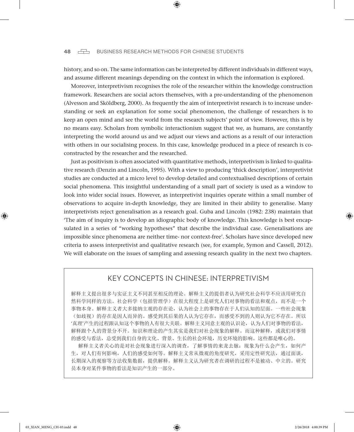#### 48 **BUSINESS RESEARCH METHODS FOR CHINESE STUDENTS**

history, and so on. The same information can be interpreted by different individuals in different ways, and assume different meanings depending on the context in which the information is explored.

⊕

Moreover, interpretivism recognises the role of the researcher within the knowledge construction framework. Researchers are social actors themselves, with a pre-understanding of the phenomenon (Alvesson and Sköldberg, 2000). As frequently the aim of interpretivist research is to increase understanding or seek an explanation for some social phenomenon, the challenge of researchers is to keep an open mind and see the world from the research subjects' point of view. However, this is by no means easy. Scholars from symbolic interactionism suggest that we, as humans, are constantly interpreting the world around us and we adjust our views and actions as a result of our interaction with others in our socialising process. In this case, knowledge produced in a piece of research is coconstructed by the researcher and the researched.

Just as positivism is often associated with quantitative methods, interpretivism is linked to qualitative research (Denzin and Lincoln, 1995). With a view to producing 'thick description', interpretivist studies are conducted at a micro level to develop detailed and contextualised descriptions of certain social phenomena. This insightful understanding of a small part of society is used as a window to look into wider social issues. However, as interpretivist inquiries operate within a small number of observations to acquire in-depth knowledge, they are limited in their ability to generalise. Many interpretivists reject generalisation as a research goal. Guba and Lincoln (1982: 238) maintain that 'The aim of inquiry is to develop an idiographic body of knowledge. This knowledge is best encapsulated in a series of "working hypotheses" that describe the individual case. Generalisations are impossible since phenomena are neither time- nor context-free'. Scholars have since developed new criteria to assess interpretivist and qualitative research (see, for example, Symon and Cassell, 2012). We will elaborate on the issues of sampling and assessing research quality in the next two chapters.

#### KEY CONCEPTS IN CHINESE: INTERPRETIVISM

解释主义提出很多与实证主义不同甚至相反的理论。解释主义的提倡者认为研究社会科学不应该用研究自 然科学同样的方法。社会科学(包括管理学)在很大程度上是研究人们对事物的看法和观点,而不是一个 事物本身。解释主义者大多接纳主观的存在论,认为社会上的事物存在于人们认知的层面。一些社会现象 (如歧视)的存在是因人而异的。感受到其后果的人认为它存在,而感受不到的人则认为它不存在。所以 '真理'产生的过程跟认知这个事物的人有很大关联。解释主义同意主观的认识论,认为人们对事物的看法, 解释跟个人的背景分不开。知识和理论的产生其实是我们对社会现象的解释。而这种解释,或我们对事情 的感受与看法,总受到我们自身的文化、背景、生长的社会环境,历史环境的影响。这些都是唯心的。

解释主义者关心的是对社会现象进行深入的调查,了解事情的来龙去脉:现象为什么会产生,如何产 生,对人们有何影响,人们的感受如何等。解释主义常从微观的角度研究,采用定性研究法,通过面谈, 长期深入的观察等方法收集数据,提供解释。解释主义认为研究者在调研的过程不是被动、中立的。研究 员本身对某件事物的看法是知识产生的一部分。

♠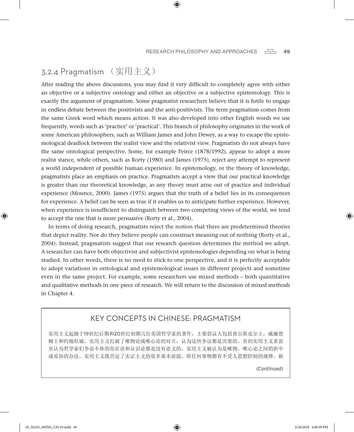#### 3.2.4 Pragmatism (实用主义)

After reading the above discussions, you may find it very difficult to completely agree with either an objective or a subjective ontology and either an objective or a subjective epistemology. This is exactly the argument of pragmatism. Some pragmatist researchers believe that it is futile to engage in endless debate between the positivists and the anti-positivists. The term pragmatism comes from the same Greek word which means action. It was also developed into other English words we use frequently, words such as 'practice' or 'practical'. This branch of philosophy originates in the work of some American philosophers, such as William James and John Dewey, as a way to escape the epistemological deadlock between the realist view and the relativist view. Pragmatists do not always have the same ontological perspective. Some, for example Peirce (1878/1992), appear to adopt a more realist stance, while others, such as Rorty (1980) and James (1975), reject any attempt to represent a world independent of possible human experience. In epistemology, or the theory of knowledge, pragmatists place an emphasis on practice. Pragmatists accept a view that our practical knowledge is greater than our theoretical knowledge, as any theory must arise out of practice and individual experience (Mounce, 2000). James (1975) argues that the truth of a belief lies in its consequences for experience. A belief can be seen as true if it enables us to anticipate further experience. However, when experience is insufficient to distinguish between two competing views of the world, we tend to accept the one that is more persuasive (Rorty et al., 2004).

⊕

In terms of doing research, pragmatists reject the notion that there are predetermined theories that depict reality. Nor do they believe people can construct meaning out of nothing (Rorty et al., 2004). Instead, pragmatists suggest that our research question determines the method we adopt. A researcher can have both objectivist and subjectivist epistemologies depending on what is being studied. In other words, there is no need to stick to one perspective, and it is perfectly acceptable to adopt variations in ontological and epistemological issues in different projects and sometime even in the same project. For example, some researchers use mixed methods – both quantitative and qualitative methods in one piece of research. We will return to the discussion of mixed methods in Chapter 4.

#### KEY CONCEPTS IN CHINESE: PRAGMATISM

实用主义起源于19世纪后期和20世纪初期几位美国哲学家的著作,主要倡议人包括查尔斯皮尔士,威廉詹 姆士和约翰杜威。实用主义打破了唯物论或唯心论的对立,认为这些争议都是次要的。有的实用主义者甚 至认为哲学家们争论不休的存在论和认识论都是没有意义的。实用主义被认为是唯物,唯心论之间的折中 或妥协的办法。实用主义既否定了实证主义的很多基本前提,即任何事物都有不受人思想控制的规律,做

*(Continued)*

♠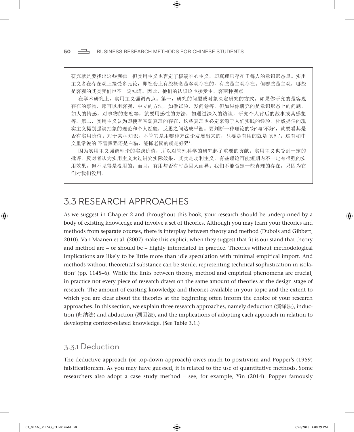50  $\Box$  BUSINESS RESEARCH METHODS FOR CHINESE STUDENTS

研究就是要找出这些规律。但实用主义也否定了极端唯心主义,即真理只存在于每人的意识形态里。实用 主义者在存在观上接受多元论,即社会上有些概念是客观存在的,有些是主观存在。但哪些是主观,哪些 是客观的其实我们也不一定知道。因此,他们的认识论也接受主,客两种观点。

⊕

在学术研究上,实用主义强调两点。第一,研究的问题或对象决定研究的方式。如果你研究的是客观 存在的事物,那可以用客观,中立的方法,如做试验,发问卷等。但如果你研究的是意识形态上的问题, 如人的情感,对事物的态度等,就要用感性的方法,如通过深入的访谈,研究个人背后的故事或其感想 等。第二,实用主义认为即便有客观真理的存在,这些真理也必定来源于人们实践的经验。杜威提倡的现 实主义提别强调抽象的理论和个人经验,反思之间达成平衡。要判断一种理论的'好'与'不好',就要看其是 否有实用价值。对于某种知识,不管它是用哪种方法论发展出来的,只要是有用的就是'真理'。这有如中 文里常说的'不管黑猫还是白猫, 能抓老鼠的就是好猫'。

因为实用主义强调理论的实践价值,所以对管理科学的研究起了重要的贡献。实用主义也受到一定的 批评。反对者认为实用主义太过讲究实际效果,其实是功利主义。有些理论可能短期内不一定有很强的实 用效果,但不见得是没用的。而且,有用与否有时是因人而异。我们不能否定一些真理的存在,只因为它 们对我们没用。

## 3.3 RESEARCH APPROACHES

As we suggest in Chapter 2 and throughout this book, your research should be underpinned by a body of existing knowledge and involve a set of theories. Although you may learn your theories and methods from separate courses, there is interplay between theory and method (Dubois and Gibbert, 2010). Van Maanen et al. (2007) make this explicit when they suggest that 'it is our stand that theory and method are – or should be – highly interrelated in practice. Theories without methodological implications are likely to be little more than idle speculation with minimal empirical import. And methods without theoretical substance can be sterile, representing technical sophistication in isolation' (pp. 1145–6). While the links between theory, method and empirical phenomena are crucial, in practice not every piece of research draws on the same amount of theories at the design stage of research. The amount of existing knowledge and theories available in your topic and the extent to which you are clear about the theories at the beginning often inform the choice of your research approaches. In this section, we explain three research approaches, namely deduction (演绎法), induction (归纳法) and abduction (溯因法), and the implications of adopting each approach in relation to developing context-related knowledge. (See Table 3.1.)

#### 3.3.1 Deduction

The deductive approach (or top-down approach) owes much to positivism and Popper's (1959) falsificationism. As you may have guessed, it is related to the use of quantitative methods. Some researchers also adopt a case study method – see, for example, Yin (2014). Popper famously

♠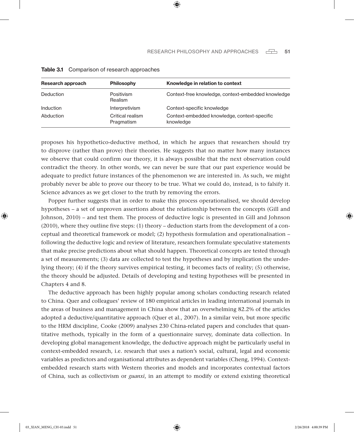| Research approach | <b>Philosophy</b>              | Knowledge in relation to context                          |
|-------------------|--------------------------------|-----------------------------------------------------------|
| Deduction         | Positivism<br>Realism          | Context-free knowledge, context-embedded knowledge        |
| <b>Induction</b>  | Interpretivism                 | Context-specific knowledge                                |
| Abduction         | Critical realism<br>Pragmatism | Context-embedded knowledge, context-specific<br>knowledge |

⊕

| Table 3.1 | Comparison of research approaches |  |  |
|-----------|-----------------------------------|--|--|
|-----------|-----------------------------------|--|--|

proposes his hypothetico-deductive method, in which he argues that researchers should try to disprove (rather than prove) their theories. He suggests that no matter how many instances we observe that could confirm our theory, it is always possible that the next observation could contradict the theory. In other words, we can never be sure that our past experience would be adequate to predict future instances of the phenomenon we are interested in. As such, we might probably never be able to prove our theory to be true. What we could do, instead, is to falsify it. Science advances as we get closer to the truth by removing the errors.

Popper further suggests that in order to make this process operationalised, we should develop hypotheses – a set of unproven assertions about the relationship between the concepts (Gill and Johnson, 2010) – and test them. The process of deductive logic is presented in Gill and Johnson (2010), where they outline five steps: (1) theory – deduction starts from the development of a conceptual and theoretical framework or model; (2) hypothesis formulation and operationalisation – following the deductive logic and review of literature, researchers formulate speculative statements that make precise predictions about what should happen. Theoretical concepts are tested through a set of measurements; (3) data are collected to test the hypotheses and by implication the underlying theory; (4) if the theory survives empirical testing, it becomes facts of reality; (5) otherwise, the theory should be adjusted. Details of developing and testing hypotheses will be presented in Chapters 4 and 8.

The deductive approach has been highly popular among scholars conducting research related to China. Quer and colleagues' review of 180 empirical articles in leading international journals in the areas of business and management in China show that an overwhelming 82.2% of the articles adopted a deductive/quantitative approach (Quer et al., 2007). In a similar vein, but more specific to the HRM discipline, Cooke (2009) analyses 230 China-related papers and concludes that quantitative methods, typically in the form of a questionnaire survey, dominate data collection. In developing global management knowledge, the deductive approach might be particularly useful in context-embedded research, i.e. research that uses a nation's social, cultural, legal and economic variables as predictors and organisational attributes as dependent variables (Cheng, 1994). Contextembedded research starts with Western theories and models and incorporates contextual factors of China, such as collectivism or *guanxi*, in an attempt to modify or extend existing theoretical

♠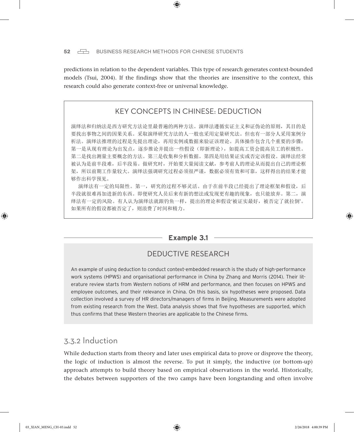predictions in relation to the dependent variables. This type of research generates context-bounded models (Tsui, 2004). If the findings show that the theories are insensitive to the context, this research could also generate context-free or universal knowledge.

⊕

#### KEY CONCEPTS IN CHINESE: DEDUCTION

演绎法和归纳法是西方研究方法论里最普遍的两种方法。演绎法遵循实证主义和证伪论的原则,其目的是 要找出事物之间的因果关系。采取演绎研究方法的人一般也采用定量研究法。但也有一部分人采用案例分 析法。演绎法推理的过程是先提出理论,再用实例或数据来验证该理论。具体操作包含几个重要的步骤: 第一是从现有理论为出发点,逐步推论并提出一些假设(即新理论),如提高工资会提高员工的积极性。 第二是找出测量主要概念的方法。第三是收集和分析数据。第四是用结果证实或否定该假设。演绎法经常 被认为是前半段难,后半段易。做研究时,开始要大量阅读文献,参考前人的理论从而提出自己的理论框 架,所以前期工作量较大。演绎法强调研究过程必须很严谨,数据必须有效和可靠,这样得出的结果才能 够作出科学预见。

演绎法有一定的局限性。第一,研究的过程不够灵活。由于在前半段已经提出了理论框架和假设,后 半段就很难再加进新的东西。即便研究人员后来有新的想法或发现更有趣的现象,也只能放弃。第二,演 绎法有一定的风险。有人认为演绎法就跟钓鱼一样,提出的理论和假设'被证实最好,被否定了就拉倒'。 如果所有的假设都被否定了,则浪费了时间和精力。

#### **Example 3.1**

#### DEDUCTIVE RESEARCH

An example of using deduction to conduct context-embedded research is the study of high-performance work systems (HPWS) and organisational performance in China by Zhang and Morris (2014). Their literature review starts from Western notions of HRM and performance, and then focuses on HPWS and employee outcomes, and their relevance in China. On this basis, six hypotheses were proposed. Data collection involved a survey of HR directors/managers of firms in Beijing. Measurements were adopted from existing research from the West. Data analysis shows that five hypotheses are supported, which thus confirms that these Western theories are applicable to the Chinese firms.

#### 3.3.2 Induction

While deduction starts from theory and later uses empirical data to prove or disprove the theory, the logic of induction is almost the reverse. To put it simply, the inductive (or bottom-up) approach attempts to build theory based on empirical observations in the world. Historically, the debates between supporters of the two camps have been longstanding and often involve

♠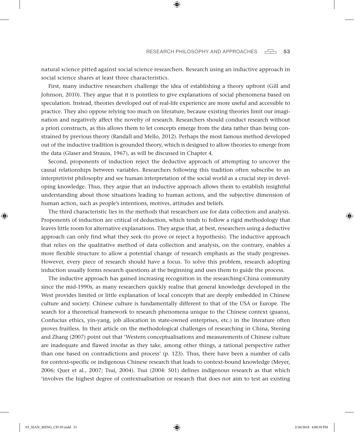natural science pitted against social science researchers. Research using an inductive approach in social science shares at least three characteristics.

⊕

First, many inductive researchers challenge the idea of establishing a theory upfront (Gill and Johnson, 2010). They argue that it is pointless to give explanations of social phenomena based on speculation. Instead, theories developed out of real-life experience are more useful and accessible to practice. They also oppose relying too much on literature, because existing theories limit our imagination and negatively affect the novelty of research. Researchers should conduct research without a priori constructs, as this allows them to let concepts emerge from the data rather than being constrained by previous theory (Randall and Mello, 2012). Perhaps the most famous method developed out of the inductive tradition is grounded theory, which is designed to allow theories to emerge from the data (Glaser and Strauss, 1967), as will be discussed in Chapter 4.

Second, proponents of induction reject the deductive approach of attempting to uncover the causal relationships between variables. Researchers following this tradition often subscribe to an interpretivist philosophy and see human interpretation of the social world as a crucial step in developing knowledge. Thus, they argue that an inductive approach allows them to establish insightful understanding about those situations leading to human actions, and the subjective dimension of human action, such as people's intentions, motives, attitudes and beliefs.

The third characteristic lies in the methods that researchers use for data collection and analysis. Proponents of induction are critical of deduction, which tends to follow a rigid methodology that leaves little room for alternative explanations. They argue that, at best, researchers using a deductive approach can only find what they seek (to prove or reject a hypothesis). The inductive approach that relies on the qualitative method of data collection and analysis, on the contrary, enables a more flexible structure to allow a potential change of research emphasis as the study progresses. However, every piece of research should have a focus. To solve this problem, research adopting induction usually forms research questions at the beginning and uses them to guide the process.

The inductive approach has gained increasing recognition in the researching-China community since the mid-1990s, as many researchers quickly realise that general knowledge developed in the West provides limited or little explanation of local concepts that are deeply embedded in Chinese culture and society. Chinese culture is fundamentally different to that of the USA or Europe. The search for a theoretical framework to research phenomena unique to the Chinese context (guanxi, Confucius ethics, yin-yang, job allocation in state-owned enterprises, etc.) in the literature often proves fruitless. In their article on the methodological challenges of researching in China, Stening and Zhang (2007) point out that 'Western conceptualisations and measurements of Chinese culture are inadequate and flawed insofar as they take, among other things, a rational perspective rather than one based on contradictions and process' (p. 123). Thus, there have been a number of calls for context-specific or indigenous Chinese research that leads to context-bound knowledge (Meyer, 2006; Quer et al., 2007; Tsui, 2004). Tsui (2004: 501) defines indigenous research as that which 'involves the highest degree of contextualisation or research that does not aim to test an existing

♠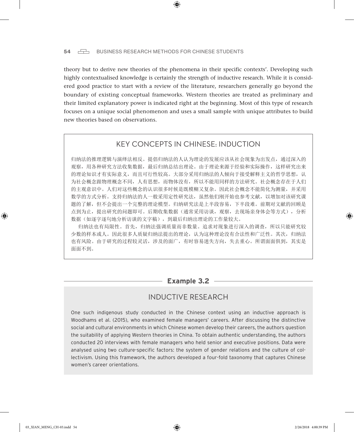#### 54  $\Box$  BUSINESS RESEARCH METHODS FOR CHINESE STUDENTS

theory but to derive new theories of the phenomena in their specific contexts'. Developing such highly contextualised knowledge is certainly the strength of inductive research. While it is considered good practice to start with a review of the literature, researchers generally go beyond the boundary of existing conceptual frameworks. Western theories are treated as preliminary and their limited explanatory power is indicated right at the beginning. Most of this type of research focuses on a unique social phenomenon and uses a small sample with unique attributes to build new theories based on observations.

⊕

#### KEY CONCEPTS IN CHINESE: INDUCTION

归纳法的推理逻辑与演绎法相反。提倡归纳法的人认为理论的发展应该从社会现象为出发点,通过深入的 观察,用各种研究方法收集数据,最后归纳总结出理论。由于理论来源于经验和实际操作,这样研究出来 的理论知识才有实际意义,而且可行性较高。大部分采用归纳法的人倾向于接受解释主义的哲学思想,认 为社会概念跟物理概念不同,人有思想,而物体没有,所以不能用同样的方法研究。社会概念存在于人们 的主观意识中。人们对这些概念的认识很多时候是既模糊又复杂。因此社会概念不能简化为测量,并采用 数学的方式分析。支持归纳法的人一般采用定性研究法,虽然他们刚开始也参考文献,以增加对该研究课 题的了解,但不会提出一个完整的理论模型。归纳研究法是上半段容易,下半段难。前期对文献的回顾是 点到为止,提出研究的问题即可。后期收集数据(通常采用访谈,观察,去现场亲身体会等方式),分析 数据(如逐字逐句地分析访谈的文字稿),到最后归纳出理论的工作量较大。

归纳法也有局限性。首先,归纳法强调质量而非数量。追求对现象进行深入的调查,所以只能研究较 少数的样本或人。因此很多人质疑归纳法提出的理论,认为这种理论没有合法性和广泛性。其次,归纳法 也有风险。由于研究的过程较灵活,涉及的面广,有时容易迷失方向,失去重心。所谓面面俱到,其实是 面面不到。

#### **Example 3.2**

#### INDUCTIVE RESEARCH

One such indigenous study conducted in the Chinese context using an inductive approach is Woodhams et al. (2015), who examined female managers' careers. After discussing the distinctive social and cultural environments in which Chinese women develop their careers, the authors question the suitability of applying Western theories in China. To obtain authentic understanding, the authors conducted 20 interviews with female managers who held senior and executive positions. Data were analysed using two culture-specific factors: the system of gender relations and the culture of collectivism. Using this framework, the authors developed a four-fold taxonomy that captures Chinese women's career orientations.

♠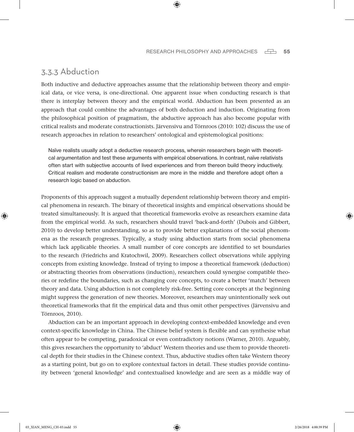#### 3.3.3 Abduction

Both inductive and deductive approaches assume that the relationship between theory and empirical data, or vice versa, is one-directional. One apparent issue when conducting research is that there is interplay between theory and the empirical world. Abduction has been presented as an approach that could combine the advantages of both deduction and induction. Originating from the philosophical position of pragmatism, the abductive approach has also become popular with critical realists and moderate constructionists. Järvensivu and Törnroos (2010: 102) discuss the use of research approaches in relation to researchers' ontological and epistemological positions:

⊕

Naïve realists usually adopt a deductive research process, wherein researchers begin with theoretical argumentation and test these arguments with empirical observations. In contrast, naïve relativists often start with subjective accounts of lived experiences and from thereon build theory inductively. Critical realism and moderate constructionism are more in the middle and therefore adopt often a research logic based on abduction.

Proponents of this approach suggest a mutually dependent relationship between theory and empirical phenomena in research. The binary of theoretical insights and empirical observations should be treated simultaneously. It is argued that theoretical frameworks evolve as researchers examine data from the empirical world. As such, researchers should travel 'back-and-forth' (Dubois and Gibbert, 2010) to develop better understanding, so as to provide better explanations of the social phenomena as the research progresses. Typically, a study using abduction starts from social phenomena which lack applicable theories. A small number of core concepts are identified to set boundaries to the research (Friedrichs and Kratochwil, 2009). Researchers collect observations while applying concepts from existing knowledge. Instead of trying to impose a theoretical framework (deduction) or abstracting theories from observations (induction), researchers could synergise compatible theories or redefine the boundaries, such as changing core concepts, to create a better 'match' between theory and data. Using abduction is not completely risk-free. Setting core concepts at the beginning might suppress the generation of new theories. Moreover, researchers may unintentionally seek out theoretical frameworks that fit the empirical data and thus omit other perspectives (Järvensivu and Törnroos, 2010).

Abduction can be an important approach in developing context-embedded knowledge and even context-specific knowledge in China. The Chinese belief system is flexible and can synthesise what often appear to be competing, paradoxical or even contradictory notions (Warner, 2010). Arguably, this gives researchers the opportunity to 'abduct' Western theories and use them to provide theoretical depth for their studies in the Chinese context. Thus, abductive studies often take Western theory as a starting point, but go on to explore contextual factors in detail. These studies provide continuity between 'general knowledge' and contextualised knowledge and are seen as a middle way of

♠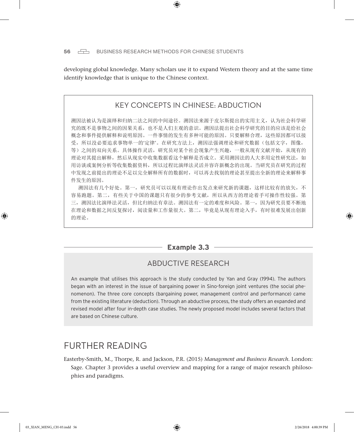developing global knowledge. Many scholars use it to expand Western theory and at the same time identify knowledge that is unique to the Chinese context.

⊕

#### KEY CONCEPTS IN CHINESE: ABDUCTION

溯因法被认为是演绎和归纳二法之间的中间途径。溯因法来源于皮尔斯提出的实用主义,认为社会科学研 究的既不是事物之间的因果关系,也不是人们主观的意识。溯因法提出社会科学研究的目的应该是给社会 概念和事件提供解释和说明原因。一件事情的发生有多种可能的原因。只要解释合理,这些原因都可以接 受,所以没必要追求事物单一的'定律'。在研究方法上,溯因法强调理论和研究数据(包括文字,图像, 等)之间的双向关系。具体操作灵活,研究员对某个社会现象产生兴趣,一般从现有文献开始,从现有的 理论对其提出解释,然后从现实中收集数据看这个解释是否成立。采用溯因法的人大多用定性研究法,如 用访谈或案例分析等收集数据资料,所以过程比演绎法灵活并容许新概念的出现。当研究员在研究的过程 中发现之前提出的理论不足以完全解释所有的数据时,可以再去找别的理论甚至提出全新的理论来解释事 件发生的原因。

溯因法有几个好处。第一,研究员可以以现有理论作出发点来研究新的课题,这样比较有的放矢,不 容易跑题。第二,有些关于中国的课题只有很少的参考文献,所以从西方的理论着手可操作性较强。第 三,溯因法比演绎法灵活,但比归纳法有章法。溯因法有一定的难度和风险。第一,因为研究员要不断地 在理论和数据之间反复探讨,阅读量和工作量很大。第二,毕竟是从现有理论入手,有时很难发展出创新 的理论。

#### **Example 3.3**

#### ABDUCTIVE RESEARCH

An example that utilises this approach is the study conducted by Yan and Gray (1994). The authors began with an interest in the issue of bargaining power in Sino-foreign joint ventures (the social phenomenon). The three core concepts (bargaining power, management control and performance) came from the existing literature (deduction). Through an abductive process, the study offers an expanded and revised model after four in-depth case studies. The newly proposed model includes several factors that are based on Chinese culture.

# FURTHER READING

Easterby-Smith, M., Thorpe, R. and Jackson, P.R. (2015) *Management and Business Research*. London: Sage. Chapter 3 provides a useful overview and mapping for a range of major research philosophies and paradigms.

♠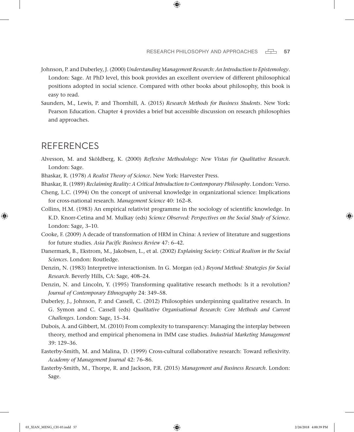Johnson, P. and Duberley, J. (2000) *Understanding Management Research: An Introduction to Epistemology*. London: Sage. At PhD level, this book provides an excellent overview of different philosophical positions adopted in social science. Compared with other books about philosophy, this book is easy to read.

⊕

Saunders, M., Lewis, P. and Thornhill, A. (2015) *Research Methods for Business Students*. New York: Pearson Education. Chapter 4 provides a brief but accessible discussion on research philosophies and approaches.

## **REFERENCES**

♠

- Alvesson, M. and Sköldberg, K. (2000) *Reflexive Methodology: New Vistas for Qualitative Research*. London: Sage.
- Bhaskar, R. (1978) *A Realist Theory of Science*. New York: Harvester Press.
- Bhaskar, R. (1989) *Reclaiming Reality: A Critical Introduction to Contemporary Philosophy*. London: Verso.
- Cheng, L.C. (1994) On the concept of universal knowledge in organizational science: Implications for cross-national research. *Management Science* 40: 162–8.
- Collins, H.M. (1983) An empirical relativist programme in the sociology of scientific knowledge. In K.D. Knorr-Cetina and M. Mulkay (eds) *Science Observed: Perspectives on the Social Study of Science.* London: Sage, 3–10.
- Cooke, F. (2009) A decade of transformation of HRM in China: A review of literature and suggestions for future studies. *Asia Pacific Business Review* 47: 6–42.
- Danermark, B., Ekstrom, M., Jakobsen, L., et al. (2002) *Explaining Society: Critical Realism in the Social Sciences*. London: Routledge.
- Denzin, N. (1983) Interpretive interactionism. In G. Morgan (ed.) *Beyond Method: Strategies for Social Research.* Beverly Hills, CA: Sage, 408–24.
- Denzin, N. and Lincoln, Y. (1995) Transforming qualitative research methods: Is it a revolution? *Journal of Contemporary Ethnography* 24: 349–58.
- Duberley, J., Johnson, P. and Cassell, C. (2012) Philosophies underpinning qualitative research. In G. Symon and C. Cassell (eds) *Qualitative Organisational Research: Core Methods and Current Challenges.* London: Sage, 15–34.
- Dubois, A. and Gibbert, M. (2010) From complexity to transparency: Managing the interplay between theory, method and empirical phenomena in IMM case studies. *Industrial Marketing Management* 39: 129–36.
- Easterby-Smith, M. and Malina, D. (1999) Cross-cultural collaborative research: Toward reflexivity. *Academy of Management Journal* 42: 76–86.
- Easterby-Smith, M., Thorpe, R. and Jackson, P.R. (2015) *Management and Business Research*. London: Sage.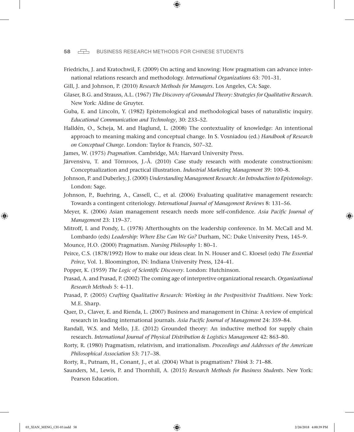#### 58 **BUSINESS RESEARCH METHODS FOR CHINESE STUDENTS**

Friedrichs, J. and Kratochwil, F. (2009) On acting and knowing: How pragmatism can advance international relations research and methodology. *International Organizations* 63: 701–31.

⊕

- Gill, J. and Johnson, P. (2010) *Research Methods for Managers*. Los Angeles, CA: Sage.
- Glaser, B.G. and Strauss, A.L. (1967) *The Discovery of Grounded Theory: Strategies for Qualitative Research*. New York: Aldine de Gruyter.
- Guba, E. and Lincoln, Y. (1982) Epistemological and methodological bases of naturalistic inquiry. *Educational Communication and Technology*, 30: 233–52.
- Halldén, O., Scheja, M. and Haglund, L. (2008) The contextuality of knowledge: An intentional approach to meaning making and conceptual change. In S. Vosniadou (ed.) *Handbook of Research on Conceptual Change*. London: Taylor & Francis, 507–32.
- James, W. (1975) *Pragmatism*. Cambridge, MA: Harvard University Press.
- Järvensivu, T. and Törnroos, J.-Å. (2010) Case study research with moderate constructionism: Conceptualization and practical illustration. *Industrial Marketing Management* 39: 100–8.
- Johnson, P. and Duberley, J. (2000) *Understanding Management Research: An Introduction to Epistemology*. London: Sage.
- Johnson, P., Buehring, A., Cassell, C., et al. (2006) Evaluating qualitative management research: Towards a contingent criteriology. *International Journal of Management Reviews* 8: 131–56.
- Meyer, K. (2006) Asian management research needs more self-confidence. *Asia Pacific Journal of Management* 23: 119–37.
- Mitroff, I. and Pondy, L. (1978) Afterthoughts on the leadership conference. In M. McCall and M. Lombardo (eds) *Leadership: Where Else Can We Go?* Durham, NC: Duke University Press, 145–9.

Mounce, H.O. (2000) Pragmatism. *Nursing Philosophy* 1: 80–1.

- Peirce, C.S. (1878/1992) How to make our ideas clear. In N. Houser and C. Kloesel (eds) *The Essential Peirce*, Vol. 1. Bloomington, IN: Indiana University Press, 124–41.
- Popper, K. (1959) *The Logic of Scientific Discovery*. London: Hutchinson.
- Prasad, A. and Prasad, P. (2002) The coming age of interpretive organizational research. *Organizational Research Methods* 5: 4–11.
- Prasad, P. (2005) *Crafting Qualitative Research: Working in the Postpositivist Traditions*. New York: M.E. Sharp.
- Quer, D., Claver, E. and Rienda, L. (2007) Business and management in China: A review of empirical research in leading international journals. *Asia Pacific Journal of Management* 24: 359–84.
- Randall, W.S. and Mello, J.E. (2012) Grounded theory: An inductive method for supply chain research. *International Journal of Physical Distribution & Logistics Management* 42: 863–80.
- Rorty, R. (1980) Pragmatism, relativism, and irrationalism. *Proceedings and Addresses of the American Philosophical Association* 53: 717–38.
- Rorty, R., Putnam, H., Conant, J., et al. (2004) What is pragmatism? *Think* 3: 71–88.
- Saunders, M., Lewis, P. and Thornhill, A. (2015) *Research Methods for Business Students*. New York: Pearson Education.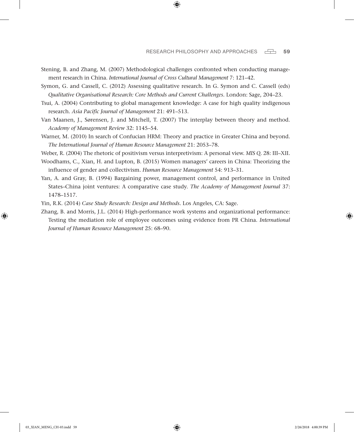Stening, B. and Zhang, M. (2007) Methodological challenges confronted when conducting management research in China. *International Journal of Cross Cultural Management* 7: 121–42.

⊕

- Symon, G. and Cassell, C. (2012) Assessing qualitative research. In G. Symon and C. Cassell (eds) *Qualitative Organisational Research: Core Methods and Current Challenges.* London: Sage, 204–23.
- Tsui, A. (2004) Contributing to global management knowledge: A case for high quality indigenous research. *Asia Pacific Journal of Management* 21: 491–513.
- Van Maanen, J., Sørensen, J. and Mitchell, T. (2007) The interplay between theory and method. *Academy of Management Review* 32: 1145–54.
- Warner, M. (2010) In search of Confucian HRM: Theory and practice in Greater China and beyond. *The International Journal of Human Resource Management* 21: 2053–78.
- Weber, R. (2004) The rhetoric of positivism versus interpretivism: A personal view. *MIS Q.* 28: III–XII.
- Woodhams, C., Xian, H. and Lupton, B. (2015) Women managers' careers in China: Theorizing the influence of gender and collectivism. *Human Resource Management* 54: 913–31.
- Yan, A. and Gray, B. (1994) Bargaining power, management control, and performance in United States–China joint ventures: A comparative case study. *The Academy of Management Journal* 37: 1478–1517.

Yin, R.K. (2014) *Case Study Research: Design and Methods*. Los Angeles, CA: Sage.

Zhang, B. and Morris, J.L. (2014) High-performance work systems and organizational performance: Testing the mediation role of employee outcomes using evidence from PR China. *International Journal of Human Resource Management* 25: 68–90.

♠